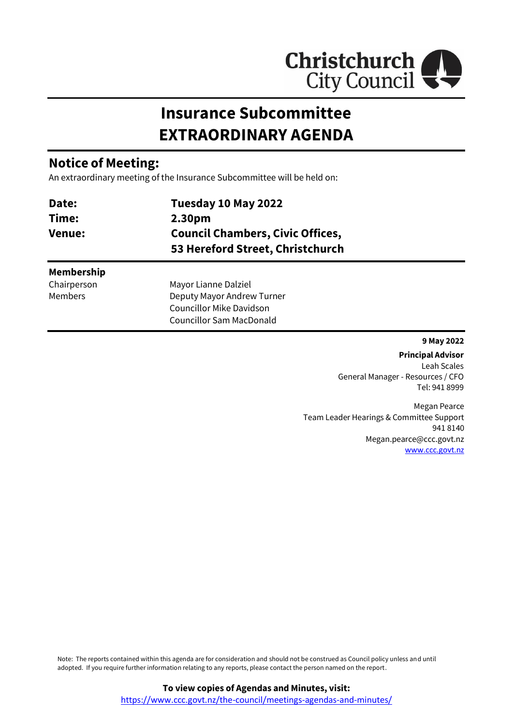

# **Insurance Subcommittee EXTRAORDINARY AGENDA**

## **Notice of Meeting:**

An extraordinary meeting of the Insurance Subcommittee will be held on:

| Date:             | Tuesday 10 May 2022                                                         |  |  |
|-------------------|-----------------------------------------------------------------------------|--|--|
| Time:             | 2.30pm                                                                      |  |  |
| <b>Venue:</b>     | <b>Council Chambers, Civic Offices,</b><br>53 Hereford Street, Christchurch |  |  |
| <b>Membership</b> |                                                                             |  |  |
| Chairperson       | Mayor Lianne Dalziel                                                        |  |  |
| Members           | Deputy Mayor Andrew Turner                                                  |  |  |

Councillor Mike Davidson Councillor Sam MacDonald

#### **9 May 2022**

**Principal Advisor** Leah Scales General Manager - Resources / CFO Tel: 941 8999

Megan Pearce Team Leader Hearings & Committee Support 941 8140 Megan.pearce@ccc.govt.nz [www.ccc.govt.nz](http://www.ccc.govt.nz/)

Note: The reports contained within this agenda are for consideration and should not be construed as Council policy unless and until adopted. If you require further information relating to any reports, please contact the person named on the report.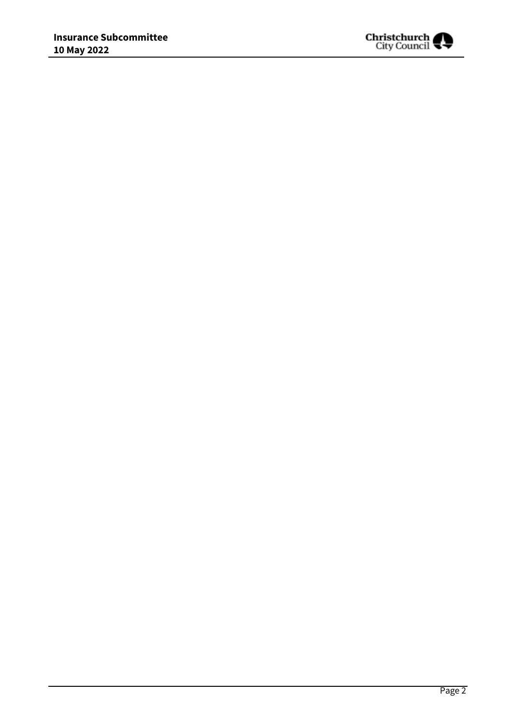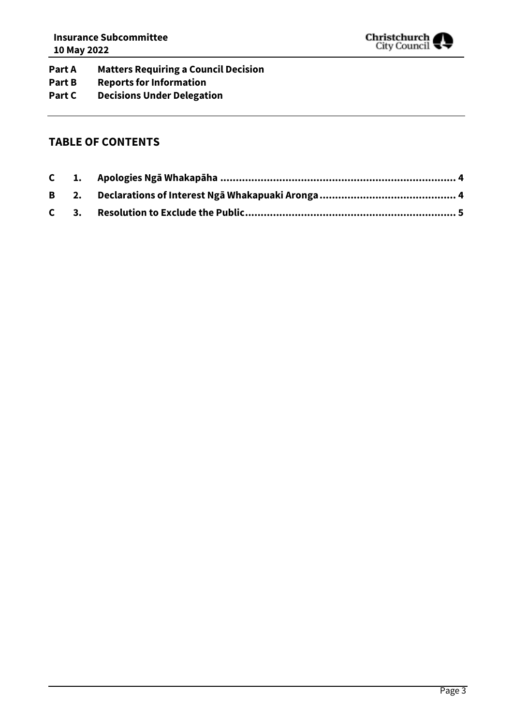#### **Part A Matters Requiring a Council Decision**

- **Part B Reports for Information**
- **Part C Decisions Under Delegation**

### **TABLE OF CONTENTS**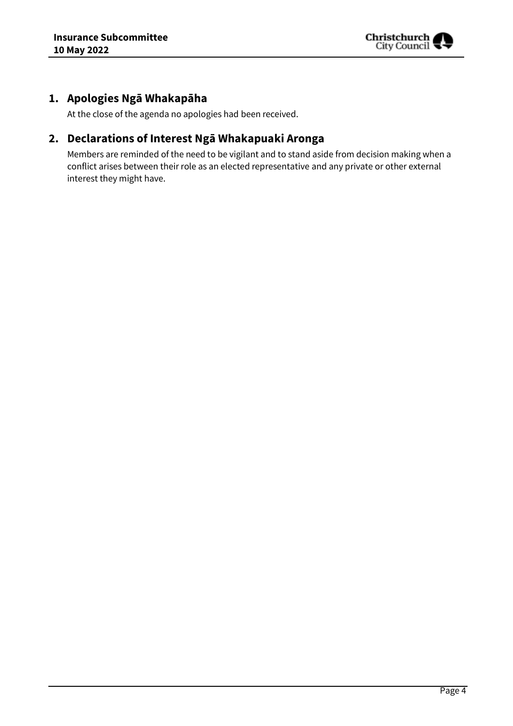

#### <span id="page-3-0"></span>**1. Apologies Ngā Whakapāha**

At the close of the agenda no apologies had been received.

#### <span id="page-3-1"></span>**2. Declarations of Interest Ngā Whakapuaki Aronga**

Members are reminded of the need to be vigilant and to stand aside from decision making when a conflict arises between their role as an elected representative and any private or other external interest they might have.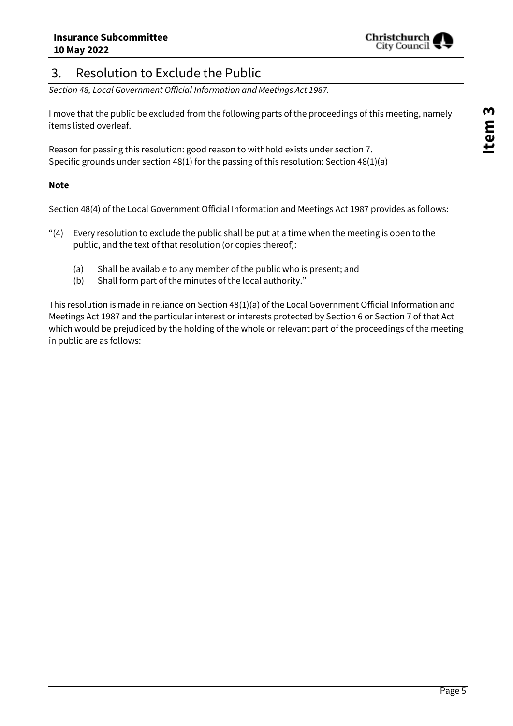# <span id="page-4-0"></span>3. Resolution to Exclude the Public

*Section 48, Local Government Official Information and Meetings Act 1987.*

I move that the public be excluded from the following parts of the proceedings of this meeting, namely items listed overleaf.

Reason for passing this resolution: good reason to withhold exists under section 7. Specific grounds under section 48(1) for the passing of this resolution: Section 48(1)(a)

#### **Note**

Section 48(4) of the Local Government Official Information and Meetings Act 1987 provides as follows:

- "(4) Every resolution to exclude the public shall be put at a time when the meeting is open to the public, and the text of that resolution (or copies thereof):
	- (a) Shall be available to any member of the public who is present; and
	- (b) Shall form part of the minutes of the local authority."

This resolution is made in reliance on Section 48(1)(a) of the Local Government Official Information and Meetings Act 1987 and the particular interest or interests protected by Section 6 or Section 7 of that Act which would be prejudiced by the holding of the whole or relevant part of the proceedings of the meeting in public are as follows: